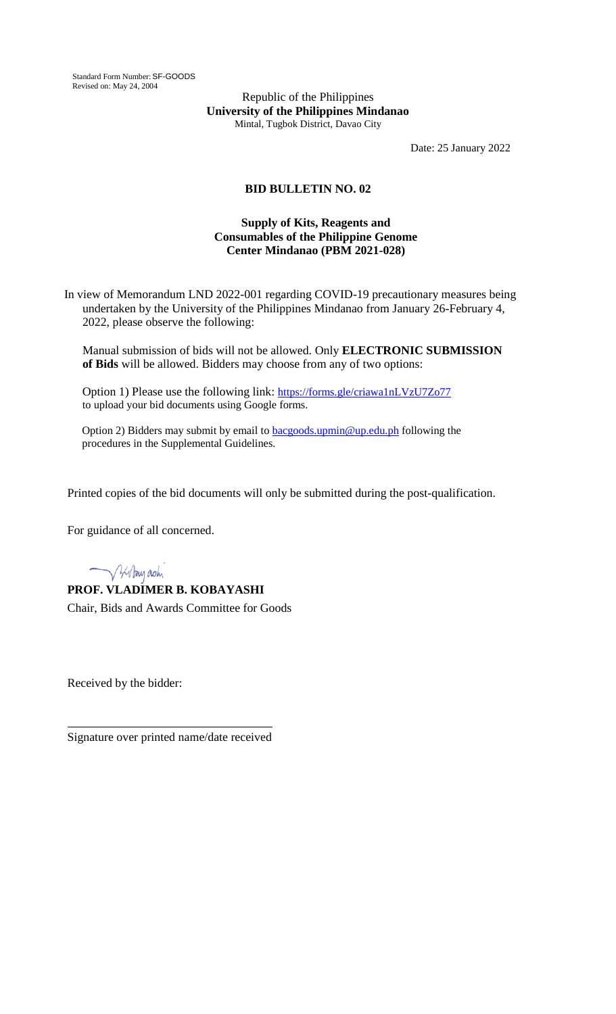Standard Form Number: SF-GOODS Revised on: May 24, 2004

Republic of the Philippines **University of the Philippines Mindanao** Mintal, Tugbok District, Davao City

Date: 25 January 2022

## **BID BULLETIN NO. 02**

## **Supply of Kits, Reagents and Consumables of the Philippine Genome Center Mindanao (PBM 2021-028)**

In view of Memorandum LND 2022-001 regarding COVID-19 precautionary measures being undertaken by the University of the Philippines Mindanao from January 26-February 4, 2022, please observe the following:

Manual submission of bids will not be allowed. Only **ELECTRONIC SUBMISSION of Bids** will be allowed. Bidders may choose from any of two options:

Option 1) Please use the following link: <https://forms.gle/criawa1nLVzU7Zo77> to upload your bid documents using Google forms.

Option 2) Bidders may submit by email to **bacgoods.upmin@up.edu.ph** following the procedures in the Supplemental Guidelines.

Printed copies of the bid documents will only be submitted during the post-qualification.

For guidance of all concerned.

V 3/1 Pay ash

**PROF. VLADIMER B. KOBAYASHI** Chair, Bids and Awards Committee for Goods

Received by the bidder:

Signature over printed name/date received